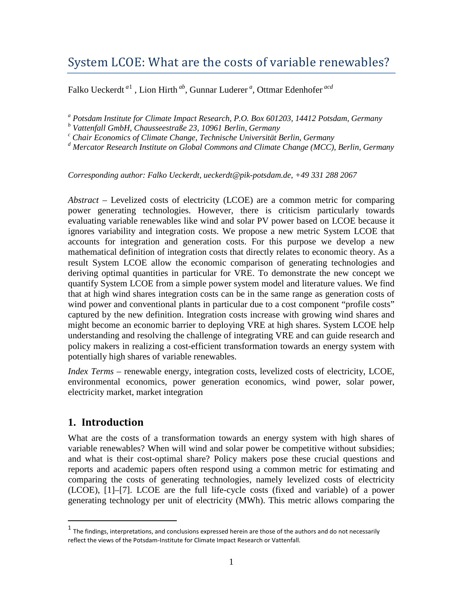# System LCOE: What are the costs of variable renewables?

Falko Ueckerdt *<sup>a</sup>*[1](#page-0-0) , Lion Hirth *ab*, Gunnar Luderer *<sup>a</sup>* , Ottmar Edenhofer *acd*

*<sup>a</sup> Potsdam Institute for Climate Impact Research, P.O. Box 601203, 14412 Potsdam, Germany*

*<sup>b</sup> Vattenfall GmbH, Chausseestraße 23, 10961 Berlin, Germany*

*<sup>c</sup> Chair Economics of Climate Change, Technische Universität Berlin, Germany*

*<sup>d</sup> Mercator Research Institute on Global Commons and Climate Change (MCC), Berlin, Germany*

*Corresponding author: Falko Ueckerdt, ueckerdt@pik-potsdam.de, +49 331 288 2067*

*Abstract* – Levelized costs of electricity (LCOE) are a common metric for comparing power generating technologies. However, there is criticism particularly towards evaluating variable renewables like wind and solar PV power based on LCOE because it ignores variability and integration costs. We propose a new metric System LCOE that accounts for integration and generation costs. For this purpose we develop a new mathematical definition of integration costs that directly relates to economic theory. As a result System LCOE allow the economic comparison of generating technologies and deriving optimal quantities in particular for VRE. To demonstrate the new concept we quantify System LCOE from a simple power system model and literature values. We find that at high wind shares integration costs can be in the same range as generation costs of wind power and conventional plants in particular due to a cost component "profile costs" captured by the new definition. Integration costs increase with growing wind shares and might become an economic barrier to deploying VRE at high shares. System LCOE help understanding and resolving the challenge of integrating VRE and can guide research and policy makers in realizing a cost-efficient transformation towards an energy system with potentially high shares of variable renewables.

*Index Terms* – renewable energy, integration costs, levelized costs of electricity, LCOE, environmental economics, power generation economics, wind power, solar power, electricity market, market integration

## **1. Introduction**

What are the costs of a transformation towards an energy system with high shares of variable renewables? When will wind and solar power be competitive without subsidies; and what is their cost-optimal share? Policy makers pose these crucial questions and reports and academic papers often respond using a common metric for estimating and comparing the costs of generating technologies, namely levelized costs of electricity (LCOE), [1]–[7]. LCOE are the full life-cycle costs (fixed and variable) of a power generating technology per unit of electricity (MWh). This metric allows comparing the

<span id="page-0-0"></span> $<sup>1</sup>$  The findings, interpretations, and conclusions expressed herein are those of the authors and do not necessarily</sup> reflect the views of the Potsdam-Institute for Climate Impact Research or Vattenfall.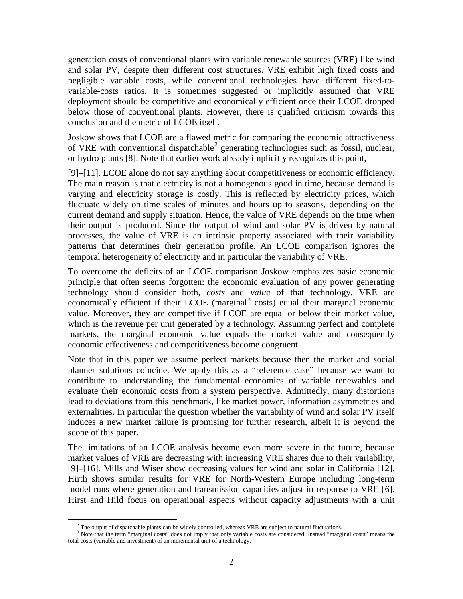generation costs of conventional plants with variable renewable sources (VRE) like wind and solar PV, despite their different cost structures. VRE exhibit high fixed costs and negligible variable costs, while conventional technologies have different fixed-tovariable-costs ratios. It is sometimes suggested or implicitly assumed that VRE deployment should be competitive and economically efficient once their LCOE dropped below those of conventional plants. However, there is qualified criticism towards this conclusion and the metric of LCOE itself.

Joskow shows that LCOE are a flawed metric for comparing the economic attractiveness of VRE with conventional dispatchable<sup>[2](#page-1-0)</sup> generating technologies such as fossil, nuclear, or hydro plants [8]. Note that earlier work already implicitly recognizes this point,

[9]–[11]. LCOE alone do not say anything about competitiveness or economic efficiency. The main reason is that electricity is not a homogenous good in time, because demand is varying and electricity storage is costly. This is reflected by electricity prices, which fluctuate widely on time scales of minutes and hours up to seasons, depending on the current demand and supply situation. Hence, the value of VRE depends on the time when their output is produced. Since the output of wind and solar PV is driven by natural processes, the value of VRE is an intrinsic property associated with their variability patterns that determines their generation profile. An LCOE comparison ignores the temporal heterogeneity of electricity and in particular the variability of VRE.

To overcome the deficits of an LCOE comparison Joskow emphasizes basic economic principle that often seems forgotten: the economic evaluation of any power generating technology should consider both, *costs* and *value* of that technology. VRE are economically efficient if their LCOE (marginal $3$  costs) equal their marginal economic value. Moreover, they are competitive if LCOE are equal or below their market value, which is the revenue per unit generated by a technology. Assuming perfect and complete markets, the marginal economic value equals the market value and consequently economic effectiveness and competitiveness become congruent.

Note that in this paper we assume perfect markets because then the market and social planner solutions coincide. We apply this as a "reference case" because we want to contribute to understanding the fundamental economics of variable renewables and evaluate their economic costs from a system perspective. Admittedly, many distortions lead to deviations from this benchmark, like market power, information asymmetries and externalities. In particular the question whether the variability of wind and solar PV itself induces a new market failure is promising for further research, albeit it is beyond the scope of this paper.

The limitations of an LCOE analysis become even more severe in the future, because market values of VRE are decreasing with increasing VRE shares due to their variability, [9]–[16]. Mills and Wiser show decreasing values for wind and solar in California [12]. Hirth shows similar results for VRE for North-Western Europe including long-term model runs where generation and transmission capacities adjust in response to VRE [6]. Hirst and Hild focus on operational aspects without capacity adjustments with a unit

<sup>&</sup>lt;sup>2</sup> The output of dispatchable plants can be widely controlled, whereas VRE are subject to natural fluctuations.

<span id="page-1-1"></span><span id="page-1-0"></span><sup>&</sup>lt;sup>3</sup> Note that the term "marginal costs" does not imply that only variable costs are considered. Instead "marginal costs" means the total costs (variable and investment) of an incremental unit of a technology.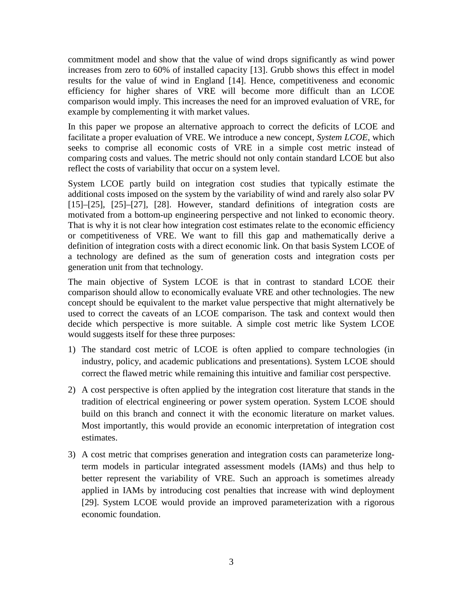commitment model and show that the value of wind drops significantly as wind power increases from zero to 60% of installed capacity [13]. Grubb shows this effect in model results for the value of wind in England [14]. Hence, competitiveness and economic efficiency for higher shares of VRE will become more difficult than an LCOE comparison would imply. This increases the need for an improved evaluation of VRE, for example by complementing it with market values.

In this paper we propose an alternative approach to correct the deficits of LCOE and facilitate a proper evaluation of VRE. We introduce a new concept, *System LCOE*, which seeks to comprise all economic costs of VRE in a simple cost metric instead of comparing costs and values. The metric should not only contain standard LCOE but also reflect the costs of variability that occur on a system level.

System LCOE partly build on integration cost studies that typically estimate the additional costs imposed on the system by the variability of wind and rarely also solar PV [15]–[25], [25]–[27], [28]. However, standard definitions of integration costs are motivated from a bottom-up engineering perspective and not linked to economic theory. That is why it is not clear how integration cost estimates relate to the economic efficiency or competitiveness of VRE. We want to fill this gap and mathematically derive a definition of integration costs with a direct economic link. On that basis System LCOE of a technology are defined as the sum of generation costs and integration costs per generation unit from that technology.

The main objective of System LCOE is that in contrast to standard LCOE their comparison should allow to economically evaluate VRE and other technologies. The new concept should be equivalent to the market value perspective that might alternatively be used to correct the caveats of an LCOE comparison. The task and context would then decide which perspective is more suitable. A simple cost metric like System LCOE would suggests itself for these three purposes:

- 1) The standard cost metric of LCOE is often applied to compare technologies (in industry, policy, and academic publications and presentations). System LCOE should correct the flawed metric while remaining this intuitive and familiar cost perspective.
- 2) A cost perspective is often applied by the integration cost literature that stands in the tradition of electrical engineering or power system operation. System LCOE should build on this branch and connect it with the economic literature on market values. Most importantly, this would provide an economic interpretation of integration cost estimates.
- 3) A cost metric that comprises generation and integration costs can parameterize longterm models in particular integrated assessment models (IAMs) and thus help to better represent the variability of VRE. Such an approach is sometimes already applied in IAMs by introducing cost penalties that increase with wind deployment [29]. System LCOE would provide an improved parameterization with a rigorous economic foundation.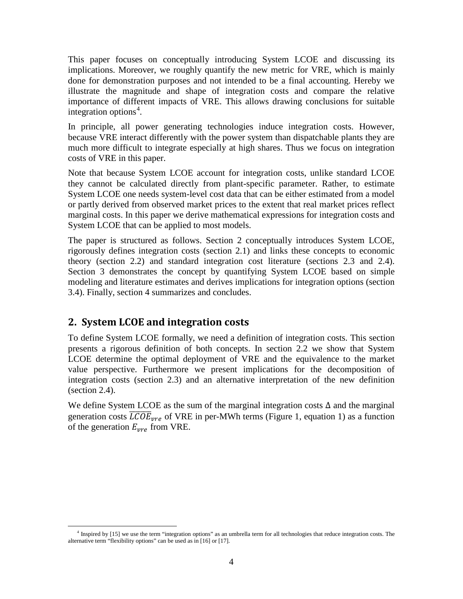This paper focuses on conceptually introducing System LCOE and discussing its implications. Moreover, we roughly quantify the new metric for VRE, which is mainly done for demonstration purposes and not intended to be a final accounting. Hereby we illustrate the magnitude and shape of integration costs and compare the relative importance of different impacts of VRE. This allows drawing conclusions for suitable integration options [4](#page-3-1) .

In principle, all power generating technologies induce integration costs. However, because VRE interact differently with the power system than dispatchable plants they are much more difficult to integrate especially at high shares. Thus we focus on integration costs of VRE in this paper.

Note that because System LCOE account for integration costs, unlike standard LCOE they cannot be calculated directly from plant-specific parameter. Rather, to estimate System LCOE one needs system-level cost data that can be either estimated from a model or partly derived from observed market prices to the extent that real market prices reflect marginal costs. In this paper we derive mathematical expressions for integration costs and System LCOE that can be applied to most models.

The paper is structured as follows. Section [2](#page-3-0) conceptually introduces System LCOE, rigorously defines integration costs (section [2.1\)](#page-4-0) and links these concepts to economic theory (section [2.2\)](#page-6-0) and standard integration cost literature (sections [2.3](#page-8-0) and [2.4\)](#page-14-0). Section [3](#page-16-0) demonstrates the concept by quantifying System LCOE based on simple modeling and literature estimates and derives implications for integration options (section [3.4\)](#page-27-0). Finally, section [4](#page-28-0) summarizes and concludes.

## <span id="page-3-0"></span>**2. System LCOE and integration costs**

To define System LCOE formally, we need a definition of integration costs. This section presents a rigorous definition of both concepts. In section [2.2](#page-6-0) we show that System LCOE determine the optimal deployment of VRE and the equivalence to the market value perspective. Furthermore we present implications for the decomposition of integration costs (section [2.3\)](#page-8-0) and an alternative interpretation of the new definition (section [2.4\)](#page-14-0).

We define System LCOE as the sum of the marginal integration costs  $\Delta$  and the marginal generation costs  $\overline{\textit{LCOE}}_{\textit{vre}}$  of VRE in per-MWh terms [\(Figure 1,](#page-4-1) equation 1) as a function of the generation  $E_{vre}$  from VRE.

<span id="page-3-1"></span> <sup>4</sup> Inspired by [15] we use the term "integration options" as an umbrella term for all technologies that reduce integration costs. The alternative term "flexibility options" can be used as in [16] or [17].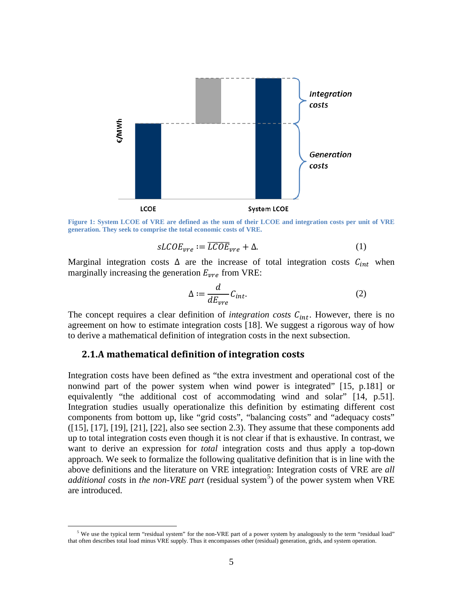

<span id="page-4-1"></span>**Figure 1: System LCOE of VRE are defined as the sum of their LCOE and integration costs per unit of VRE generation. They seek to comprise the total economic costs of VRE.**

$$
sLCOE_{vre} := \overline{LCOE}_{vre} + \Delta.
$$
 (1)

Marginal integration costs  $\Delta$  are the increase of total integration costs  $C_{int}$  when marginally increasing the generation  $E_{\nu r e}$  from VRE:

$$
\Delta := \frac{d}{dE_{vre}} C_{int}.
$$
\n(2)

The concept requires a clear definition of *integration costs*  $C<sub>int</sub>$ . However, there is no agreement on how to estimate integration costs [18]. We suggest a rigorous way of how to derive a mathematical definition of integration costs in the next subsection.

#### <span id="page-4-0"></span>**2.1.A mathematical definition of integration costs**

Integration costs have been defined as "the extra investment and operational cost of the nonwind part of the power system when wind power is integrated" [15, p.181] or equivalently "the additional cost of accommodating wind and solar" [14, p.51]. Integration studies usually operationalize this definition by estimating different cost components from bottom up, like "grid costs", "balancing costs" and "adequacy costs"  $(15]$ ,  $[17]$ ,  $[19]$ ,  $[21]$ ,  $[22]$ , also see section [2.3\)](#page-8-0). They assume that these components add up to total integration costs even though it is not clear if that is exhaustive. In contrast, we want to derive an expression for *total* integration costs and thus apply a top-down approach. We seek to formalize the following qualitative definition that is in line with the above definitions and the literature on VRE integration: Integration costs of VRE are *all additional costs* in *the non-VRE part* (residual system<sup>[5](#page-4-2)</sup>) of the power system when VRE are introduced.

<span id="page-4-2"></span><sup>&</sup>lt;sup>5</sup> We use the typical term "residual system" for the non-VRE part of a power system by analogously to the term "residual load" that often describes total load minus VRE supply. Thus it encompasses other (residual) generation, grids, and system operation.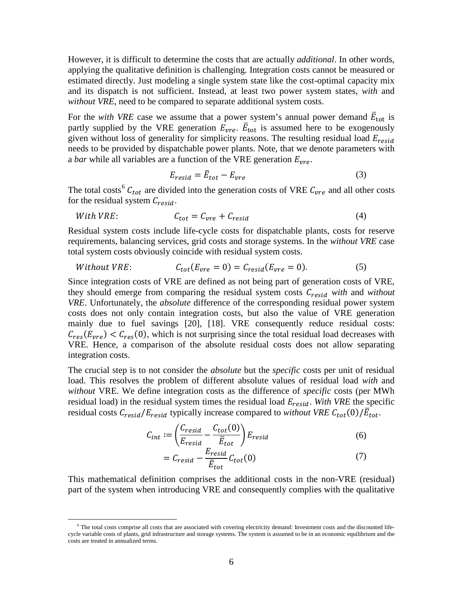However, it is difficult to determine the costs that are actually *additional*. In other words, applying the qualitative definition is challenging. Integration costs cannot be measured or estimated directly. Just modeling a single system state like the cost-optimal capacity mix and its dispatch is not sufficient. Instead, at least two power system states, *with* and *without VRE*, need to be compared to separate additional system costs.

For the *with VRE* case we assume that a power system's annual power demand  $\bar{E}_{\text{tot}}$  is partly supplied by the VRE generation  $E_{vre}$ .  $\bar{E}_{tot}$  is assumed here to be exogenously given without loss of generality for simplicity reasons. The resulting residual load  $E_{resid}$ needs to be provided by dispatchable power plants. Note, that we denote parameters with a *bar* while all variables are a function of the VRE generation  $E_{\text{vre}}$ .

$$
E_{resid} = \bar{E}_{tot} - E_{vre} \tag{3}
$$

The total costs<sup>[6](#page-5-0)</sup>  $C_{tot}$  are divided into the generation costs of VRE  $C_{vre}$  and all other costs for the residual system  $C_{resid}$ .

With VRE: 
$$
C_{tot} = C_{vre} + C_{resid}
$$
 (4)

Residual system costs include life-cycle costs for dispatchable plants, costs for reserve requirements, balancing services, grid costs and storage systems. In the *without VRE* case total system costs obviously coincide with residual system costs.

$$
Without VRE: \tC_{tot}(E_{vre} = 0) = C_{resid}(E_{vre} = 0). \t(5)
$$

Since integration costs of VRE are defined as not being part of generation costs of VRE, they should emerge from comparing the residual system costs  $C_{resid}$  with and without *VRE*. Unfortunately, the *absolute* difference of the corresponding residual power system costs does not only contain integration costs, but also the value of VRE generation mainly due to fuel savings [20], [18]. VRE consequently reduce residual costs:  $C_{res}(E_{vre}) < C_{res}(0)$ , which is not surprising since the total residual load decreases with VRE. Hence, a comparison of the absolute residual costs does not allow separating integration costs.

The crucial step is to not consider the *absolute* but the *specific* costs per unit of residual load. This resolves the problem of different absolute values of residual load *with* and *without* VRE. We define integration costs as the difference of *specific* costs (per MWh residual load) in the residual system times the residual load  $E_{resid}$ . With VRE the specific residual costs  $C_{resid}/E_{resid}$  typically increase compared to *without VRE*  $C_{tot}(0)/\bar{E}_{tot}$ .

$$
C_{int} := \left(\frac{C_{resid}}{E_{resid}} - \frac{C_{tot}(0)}{\overline{E}_{tot}}\right) E_{resid}
$$
 (6)

$$
= C_{resid} - \frac{E_{resid}}{\overline{E}_{tot}} C_{tot}(0)
$$
\n(7)

This mathematical definition comprises the additional costs in the non-VRE (residual) part of the system when introducing VRE and consequently complies with the qualitative

<span id="page-5-0"></span> $6$  The total costs comprise all costs that are associated with covering electricity demand: Investment costs and the discounted lifecycle variable costs of plants, grid infrastructure and storage systems. The system is assumed to be in an economic equilibrium and the costs are treated in annualized terms.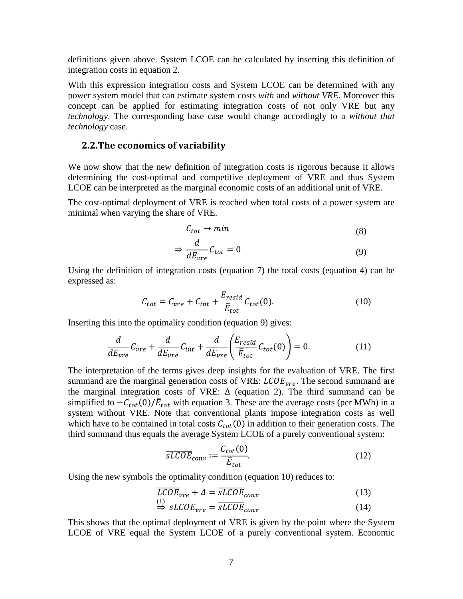definitions given above. System LCOE can be calculated by inserting this definition of integration costs in equation 2.

With this expression integration costs and System LCOE can be determined with any power system model that can estimate system costs *with* and *without VRE.* Moreover this concept can be applied for estimating integration costs of not only VRE but any *technology*. The corresponding base case would change accordingly to a *without that technology* case.

#### <span id="page-6-0"></span>**2.2.The economics of variability**

We now show that the new definition of integration costs is rigorous because it allows determining the cost-optimal and competitive deployment of VRE and thus System LCOE can be interpreted as the marginal economic costs of an additional unit of VRE.

The cost-optimal deployment of VRE is reached when total costs of a power system are minimal when varying the share of VRE.

$$
C_{tot} \to min \tag{8}
$$

$$
\Rightarrow \frac{d}{dE_{vre}} C_{tot} = 0 \tag{9}
$$

Using the definition of integration costs (equation 7) the total costs (equation 4) can be expressed as:

$$
C_{tot} = C_{vre} + C_{int} + \frac{E_{resid}}{\bar{E}_{tot}} C_{tot}(0).
$$
 (10)

Inserting this into the optimality condition (equation 9) gives:

$$
\frac{d}{dE_{vre}}C_{vre} + \frac{d}{dE_{vre}}C_{int} + \frac{d}{dE_{vre}}\left(\frac{E_{resid}}{\bar{E}_{tot}}C_{tot}(0)\right) = 0.
$$
\n(11)

The interpretation of the terms gives deep insights for the evaluation of VRE. The first summand are the marginal generation costs of VRE:  $\text{LCOE}_{\text{vre}}$ . The second summand are the marginal integration costs of VRE:  $\Delta$  (equation 2). The third summand can be simplified to  $-C_{tot}(0)/\bar{E}_{tot}$  with equation 3. These are the average costs (per MWh) in a system without VRE. Note that conventional plants impose integration costs as well which have to be contained in total costs  $C_{tot}(0)$  in addition to their generation costs. The third summand thus equals the average System LCOE of a purely conventional system:

$$
\overline{sLCOE}_{conv} := \frac{C_{tot}(0)}{\overline{E}_{tot}}.
$$
\n(12)

Using the new symbols the optimality condition (equation 10) reduces to:

$$
\overline{LCOE}_{vre} + \Delta = \overline{sLCOE}_{conv}
$$
\n(13)

$$
\Rightarrow sLCOE_{vre} = \overline{sLCOE}_{conv} \tag{14}
$$

This shows that the optimal deployment of VRE is given by the point where the System LCOE of VRE equal the System LCOE of a purely conventional system. Economic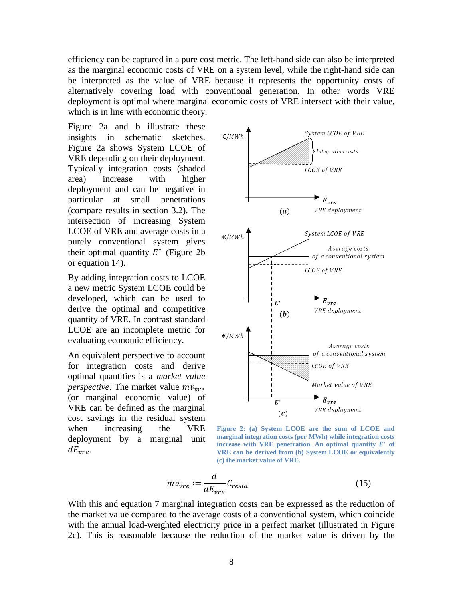efficiency can be captured in a pure cost metric. The left-hand side can also be interpreted as the marginal economic costs of VRE on a system level, while the right-hand side can be interpreted as the value of VRE because it represents the opportunity costs of alternatively covering load with conventional generation. In other words VRE deployment is optimal where marginal economic costs of VRE intersect with their value, which is in line with economic theory.

[Figure 2a](#page-7-0) and b illustrate these insights in schematic sketches. [Figure 2a](#page-7-0) shows System LCOE of VRE depending on their deployment. Typically integration costs (shaded area) increase with higher deployment and can be negative in particular at small penetrations (compare results in section [3.2\)](#page-22-0). The intersection of increasing System LCOE of VRE and average costs in a purely conventional system gives their optimal quantity  $E^*$  [\(Figure 2b](#page-7-0)) or equation 14).

By adding integration costs to LCOE a new metric System LCOE could be developed, which can be used to derive the optimal and competitive quantity of VRE. In contrast standard LCOE are an incomplete metric for evaluating economic efficiency.

An equivalent perspective to account for integration costs and derive optimal quantities is a *market value perspective.* The market value  $mv_{\text{true}}$ (or marginal economic value) of VRE can be defined as the marginal cost savings in the residual system when increasing the VRE deployment by a marginal unit  $dE_{\nu r\rho}$ .



<span id="page-7-0"></span>**Figure 2: (a) System LCOE are the sum of LCOE and marginal integration costs (per MWh) while integration costs increase with VRE penetration. An optimal quantity**  $E^*$  **of VRE can be derived from (b) System LCOE or equivalently (c) the market value of VRE.**

$$
mv_{vre} := \frac{d}{dE_{vre}} C_{resid}
$$
 (15)

With this and equation 7 marginal integration costs can be expressed as the reduction of the market value compared to the average costs of a conventional system, which coincide with the annual load-weighted electricity price in a perfect market (illustrated in [Figure](#page-7-0)  [2c](#page-7-0)). This is reasonable because the reduction of the market value is driven by the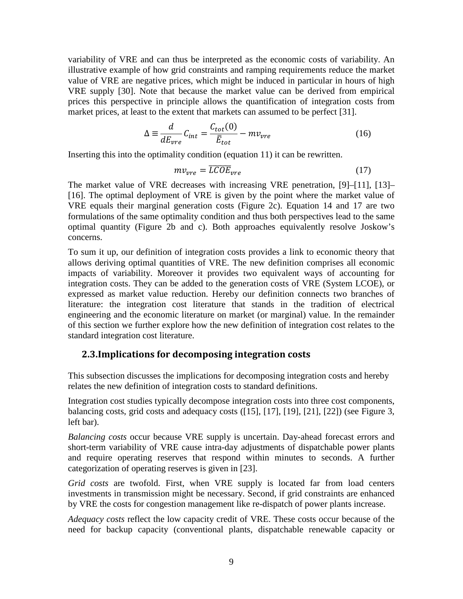variability of VRE and can thus be interpreted as the economic costs of variability. An illustrative example of how grid constraints and ramping requirements reduce the market value of VRE are negative prices, which might be induced in particular in hours of high VRE supply [30]. Note that because the market value can be derived from empirical prices this perspective in principle allows the quantification of integration costs from market prices, at least to the extent that markets can assumed to be perfect [31].

$$
\Delta \equiv \frac{d}{dE_{vre}} C_{int} = \frac{C_{tot}(0)}{\bar{E}_{tot}} - mv_{vre}
$$
(16)

Inserting this into the optimality condition (equation 11) it can be rewritten.

$$
mv_{vre} = \overline{LCOE}_{vre} \tag{17}
$$

The market value of VRE decreases with increasing VRE penetration, [9]–[11], [13]– [16]. The optimal deployment of VRE is given by the point where the market value of VRE equals their marginal generation costs [\(Figure 2c](#page-7-0)). Equation 14 and 17 are two formulations of the same optimality condition and thus both perspectives lead to the same optimal quantity [\(Figure 2b](#page-7-0) and c). Both approaches equivalently resolve Joskow's concerns.

To sum it up, our definition of integration costs provides a link to economic theory that allows deriving optimal quantities of VRE. The new definition comprises all economic impacts of variability. Moreover it provides two equivalent ways of accounting for integration costs. They can be added to the generation costs of VRE (System LCOE), or expressed as market value reduction. Hereby our definition connects two branches of literature: the integration cost literature that stands in the tradition of electrical engineering and the economic literature on market (or marginal) value. In the remainder of this section we further explore how the new definition of integration cost relates to the standard integration cost literature.

### <span id="page-8-0"></span>**2.3.Implications for decomposing integration costs**

This subsection discusses the implications for decomposing integration costs and hereby relates the new definition of integration costs to standard definitions.

Integration cost studies typically decompose integration costs into three cost components, balancing costs, grid costs and adequacy costs ([15], [17], [19], [21], [22]) (see [Figure 3,](#page-9-0) left bar).

*Balancing costs* occur because VRE supply is uncertain. Day-ahead forecast errors and short-term variability of VRE cause intra-day adjustments of dispatchable power plants and require operating reserves that respond within minutes to seconds. A further categorization of operating reserves is given in [23].

*Grid costs* are twofold. First, when VRE supply is located far from load centers investments in transmission might be necessary. Second, if grid constraints are enhanced by VRE the costs for congestion management like re-dispatch of power plants increase.

*Adequacy costs* reflect the low capacity credit of VRE. These costs occur because of the need for backup capacity (conventional plants, dispatchable renewable capacity or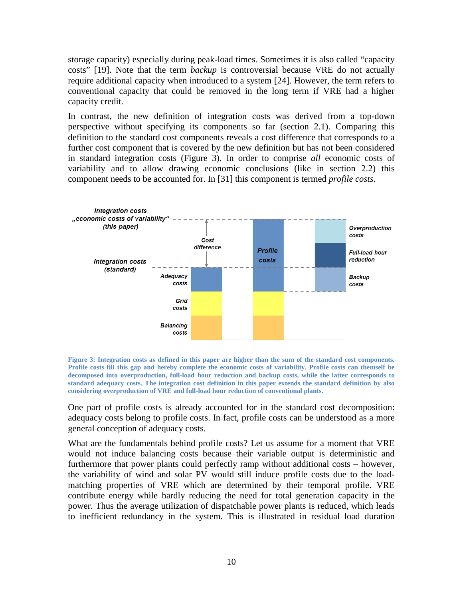storage capacity) especially during peak-load times. Sometimes it is also called "capacity costs" [19]. Note that the term *backup* is controversial because VRE do not actually require additional capacity when introduced to a system [24]. However, the term refers to conventional capacity that could be removed in the long term if VRE had a higher capacity credit.

In contrast, the new definition of integration costs was derived from a top-down perspective without specifying its components so far (section [2.1\)](#page-4-0). Comparing this definition to the standard cost components reveals a cost difference that corresponds to a further cost component that is covered by the new definition but has not been considered in standard integration costs [\(Figure 3\)](#page-9-0). In order to comprise *all* economic costs of variability and to allow drawing economic conclusions (like in section [2.2\)](#page-6-0) this component needs to be accounted for. In [31] this component is termed *profile costs*.



<span id="page-9-0"></span>**Figure 3: Integration costs as defined in this paper are higher than the sum of the standard cost components. Profile costs fill this gap and hereby complete the economic costs of variability. Profile costs can themself be decomposed into overproduction, full-load hour reduction and backup costs, while the latter corresponds to standard adequacy costs. The integration cost definition in this paper extends the standard definition by also considering overproduction of VRE and full-load hour reduction of conventional plants.**

One part of profile costs is already accounted for in the standard cost decomposition: adequacy costs belong to profile costs. In fact, profile costs can be understood as a more general conception of adequacy costs.

What are the fundamentals behind profile costs? Let us assume for a moment that VRE would not induce balancing costs because their variable output is deterministic and furthermore that power plants could perfectly ramp without additional costs – however, the variability of wind and solar PV would still induce profile costs due to the loadmatching properties of VRE which are determined by their temporal profile. VRE contribute energy while hardly reducing the need for total generation capacity in the power. Thus the average utilization of dispatchable power plants is reduced, which leads to inefficient redundancy in the system. This is illustrated in residual load duration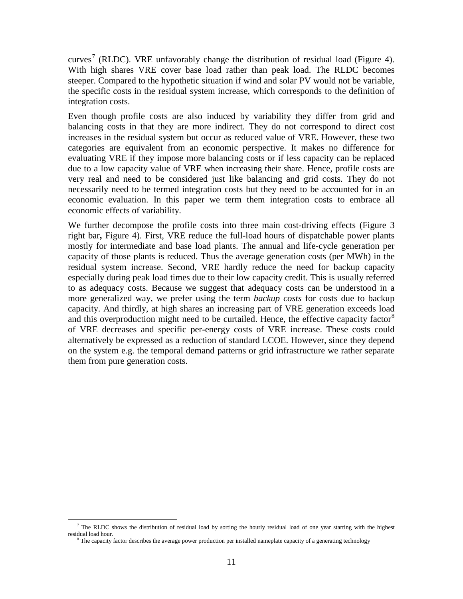curves<sup>[7](#page-10-0)</sup> (RLDC). VRE unfavorably change the distribution of residual load [\(Figure 4\)](#page-11-0). With high shares VRE cover base load rather than peak load. The RLDC becomes steeper. Compared to the hypothetic situation if wind and solar PV would not be variable, the specific costs in the residual system increase, which corresponds to the definition of integration costs.

Even though profile costs are also induced by variability they differ from grid and balancing costs in that they are more indirect. They do not correspond to direct cost increases in the residual system but occur as reduced value of VRE. However, these two categories are equivalent from an economic perspective. It makes no difference for evaluating VRE if they impose more balancing costs or if less capacity can be replaced due to a low capacity value of VRE when increasing their share. Hence, profile costs are very real and need to be considered just like balancing and grid costs. They do not necessarily need to be termed integration costs but they need to be accounted for in an economic evaluation. In this paper we term them integration costs to embrace all economic effects of variability.

We further decompose the profile costs into three main cost-driving effects [\(Figure 3](#page-9-0)) right bar**,** [Figure 4\)](#page-11-0). First, VRE reduce the full-load hours of dispatchable power plants mostly for intermediate and base load plants. The annual and life-cycle generation per capacity of those plants is reduced. Thus the average generation costs (per MWh) in the residual system increase. Second, VRE hardly reduce the need for backup capacity especially during peak load times due to their low capacity credit. This is usually referred to as adequacy costs. Because we suggest that adequacy costs can be understood in a more generalized way, we prefer using the term *backup costs* for costs due to backup capacity. And thirdly, at high shares an increasing part of VRE generation exceeds load and this overproduction might need to be curtailed. Hence, the effective capacity factor<sup>[8](#page-10-1)</sup> of VRE decreases and specific per-energy costs of VRE increase. These costs could alternatively be expressed as a reduction of standard LCOE. However, since they depend on the system e.g. the temporal demand patterns or grid infrastructure we rather separate them from pure generation costs.

<span id="page-10-1"></span><span id="page-10-0"></span> $^7$  The RLDC shows the distribution of residual load by sorting the hourly residual load of one year starting with the highest residual load hour.

 $8$  The capacity factor describes the average power production per installed nameplate capacity of a generating technology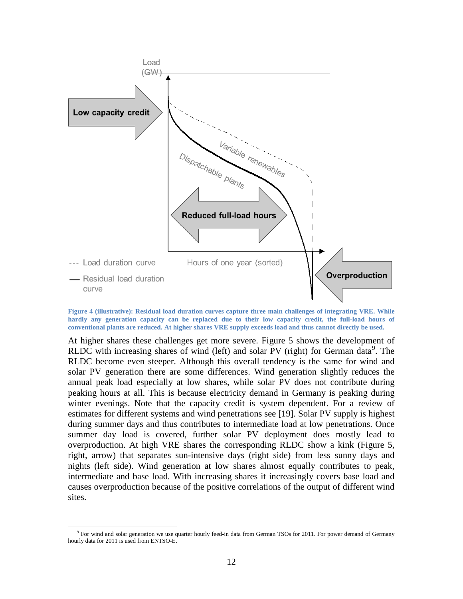

<span id="page-11-0"></span>**Figure 4 (illustrative): Residual load duration curves capture three main challenges of integrating VRE. While**  hardly any generation capacity can be replaced due to their low capacity credit, the full-load hours of **conventional plants are reduced. At higher shares VRE supply exceeds load and thus cannot directly be used.**

At higher shares these challenges get more severe. [Figure 5](#page-12-0) shows the development of RLDC with increasing shares of wind (left) and solar PV (right) for German data<sup>[9](#page-11-1)</sup>. The RLDC become even steeper. Although this overall tendency is the same for wind and solar PV generation there are some differences. Wind generation slightly reduces the annual peak load especially at low shares, while solar PV does not contribute during peaking hours at all. This is because electricity demand in Germany is peaking during winter evenings. Note that the capacity credit is system dependent. For a review of estimates for different systems and wind penetrations see [19]. Solar PV supply is highest during summer days and thus contributes to intermediate load at low penetrations. Once summer day load is covered, further solar PV deployment does mostly lead to overproduction. At high VRE shares the corresponding RLDC show a kink [\(Figure 5,](#page-12-0) right, arrow) that separates sun-intensive days (right side) from less sunny days and nights (left side). Wind generation at low shares almost equally contributes to peak, intermediate and base load. With increasing shares it increasingly covers base load and causes overproduction because of the positive correlations of the output of different wind sites.

<span id="page-11-1"></span> $9$  For wind and solar generation we use quarter hourly feed-in data from German TSOs for 2011. For power demand of Germany hourly data for 2011 is used from ENTSO-E.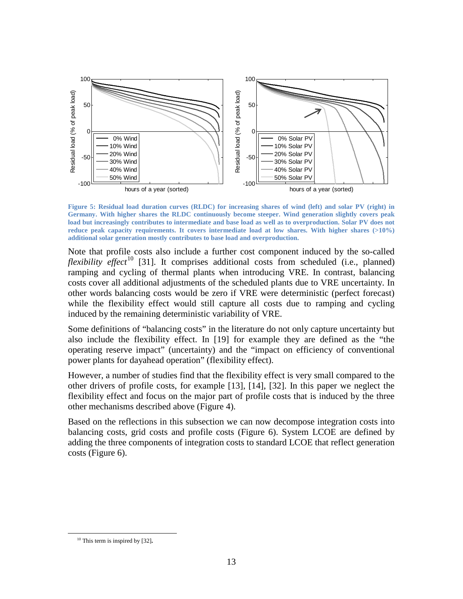

<span id="page-12-0"></span>**Figure 5: Residual load duration curves (RLDC) for increasing shares of wind (left) and solar PV (right) in Germany. With higher shares the RLDC continuously become steeper. Wind generation slightly covers peak load but increasingly contributes to intermediate and base load as well as to overproduction. Solar PV does not reduce peak capacity requirements. It covers intermediate load at low shares. With higher shares (>10%) additional solar generation mostly contributes to base load and overproduction.**

Note that profile costs also include a further cost component induced by the so-called *flexibility effect*<sup>[10](#page-12-1)</sup> [31]. It comprises additional costs from scheduled (i.e., planned) ramping and cycling of thermal plants when introducing VRE. In contrast, balancing costs cover all additional adjustments of the scheduled plants due to VRE uncertainty. In other words balancing costs would be zero if VRE were deterministic (perfect forecast) while the flexibility effect would still capture all costs due to ramping and cycling induced by the remaining deterministic variability of VRE.

Some definitions of "balancing costs" in the literature do not only capture uncertainty but also include the flexibility effect. In [19] for example they are defined as the "the operating reserve impact" (uncertainty) and the "impact on efficiency of conventional power plants for dayahead operation" (flexibility effect).

However, a number of studies find that the flexibility effect is very small compared to the other drivers of profile costs, for example [13], [14], [32]. In this paper we neglect the flexibility effect and focus on the major part of profile costs that is induced by the three other mechanisms described above [\(Figure 4\)](#page-11-0).

Based on the reflections in this subsection we can now decompose integration costs into balancing costs, grid costs and profile costs [\(Figure 6\)](#page-13-0). System LCOE are defined by adding the three components of integration costs to standard LCOE that reflect generation costs [\(Figure 6\)](#page-13-0).

<span id="page-12-1"></span> <sup>10</sup> This term is inspired by [32]**.**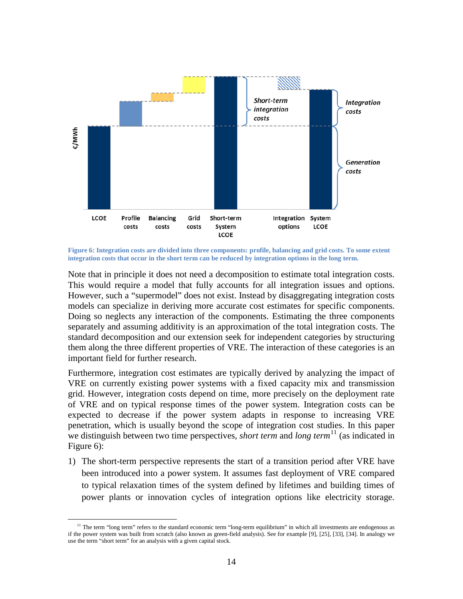

<span id="page-13-0"></span>**Figure 6: Integration costs are divided into three components: profile, balancing and grid costs. To some extent integration costs that occur in the short term can be reduced by integration options in the long term.**

Note that in principle it does not need a decomposition to estimate total integration costs. This would require a model that fully accounts for all integration issues and options. However, such a "supermodel" does not exist. Instead by disaggregating integration costs models can specialize in deriving more accurate cost estimates for specific components. Doing so neglects any interaction of the components. Estimating the three components separately and assuming additivity is an approximation of the total integration costs. The standard decomposition and our extension seek for independent categories by structuring them along the three different properties of VRE. The interaction of these categories is an important field for further research.

Furthermore, integration cost estimates are typically derived by analyzing the impact of VRE on currently existing power systems with a fixed capacity mix and transmission grid. However, integration costs depend on time, more precisely on the deployment rate of VRE and on typical response times of the power system. Integration costs can be expected to decrease if the power system adapts in response to increasing VRE penetration, which is usually beyond the scope of integration cost studies. In this paper we distinguish between two time perspectives, *short term* and *long term*<sup>[11](#page-13-1)</sup> (as indicated in [Figure 6\)](#page-13-0):

1) The short-term perspective represents the start of a transition period after VRE have been introduced into a power system. It assumes fast deployment of VRE compared to typical relaxation times of the system defined by lifetimes and building times of power plants or innovation cycles of integration options like electricity storage.

<span id="page-13-1"></span> $11$  The term "long term" refers to the standard economic term "long-term equilibrium" in which all investments are endogenous as if the power system was built from scratch (also known as green-field analysis). See for example [9], [25], [33], [34]. In analogy we use the term "short term" for an analysis with a given capital stock.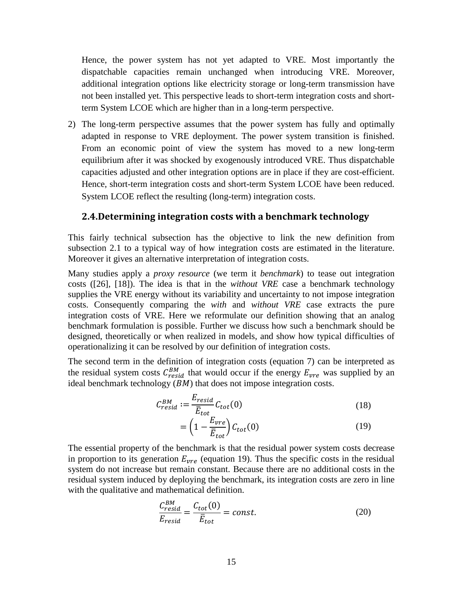Hence, the power system has not yet adapted to VRE. Most importantly the dispatchable capacities remain unchanged when introducing VRE. Moreover, additional integration options like electricity storage or long-term transmission have not been installed yet. This perspective leads to short-term integration costs and shortterm System LCOE which are higher than in a long-term perspective.

2) The long-term perspective assumes that the power system has fully and optimally adapted in response to VRE deployment. The power system transition is finished. From an economic point of view the system has moved to a new long-term equilibrium after it was shocked by exogenously introduced VRE. Thus dispatchable capacities adjusted and other integration options are in place if they are cost-efficient. Hence, short-term integration costs and short-term System LCOE have been reduced. System LCOE reflect the resulting (long-term) integration costs.

#### <span id="page-14-0"></span>**2.4.Determining integration costs with a benchmark technology**

This fairly technical subsection has the objective to link the new definition from subsection [2.1](#page-4-0) to a typical way of how integration costs are estimated in the literature. Moreover it gives an alternative interpretation of integration costs.

Many studies apply a *proxy resource* (we term it *benchmark*) to tease out integration costs ([26], [18]). The idea is that in the *without VRE* case a benchmark technology supplies the VRE energy without its variability and uncertainty to not impose integration costs. Consequently comparing the *with* and *without VRE* case extracts the pure integration costs of VRE. Here we reformulate our definition showing that an analog benchmark formulation is possible. Further we discuss how such a benchmark should be designed, theoretically or when realized in models, and show how typical difficulties of operationalizing it can be resolved by our definition of integration costs.

The second term in the definition of integration costs (equation 7) can be interpreted as the residual system costs  $C_{resid}^{BM}$  that would occur if the energy  $E_{vre}$  was supplied by an ideal benchmark technology  $(BM)$  that does not impose integration costs.

$$
C_{resid}^{BM} := \frac{E_{resid}}{\bar{E}_{tot}} C_{tot}(0)
$$
\n(18)

$$
= \left(1 - \frac{E_{vre}}{\overline{E}_{tot}}\right) C_{tot}(0) \tag{19}
$$

The essential property of the benchmark is that the residual power system costs decrease in proportion to its generation  $E_{vre}$  (equation 19). Thus the specific costs in the residual system do not increase but remain constant. Because there are no additional costs in the residual system induced by deploying the benchmark, its integration costs are zero in line with the qualitative and mathematical definition.

$$
\frac{C_{resid}^{BM}}{E_{resid}} = \frac{C_{tot}(0)}{\bar{E}_{tot}} = const.
$$
\n(20)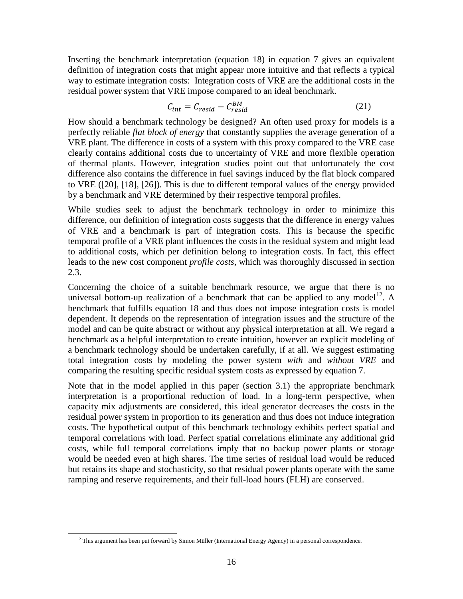Inserting the benchmark interpretation (equation 18) in equation 7 gives an equivalent definition of integration costs that might appear more intuitive and that reflects a typical way to estimate integration costs: Integration costs of VRE are the additional costs in the residual power system that VRE impose compared to an ideal benchmark.

$$
C_{int} = C_{resid} - C_{resid}^{BM} \tag{21}
$$

How should a benchmark technology be designed? An often used proxy for models is a perfectly reliable *flat block of energy* that constantly supplies the average generation of a VRE plant. The difference in costs of a system with this proxy compared to the VRE case clearly contains additional costs due to uncertainty of VRE and more flexible operation of thermal plants. However, integration studies point out that unfortunately the cost difference also contains the difference in fuel savings induced by the flat block compared to VRE ([20], [18], [26]). This is due to different temporal values of the energy provided by a benchmark and VRE determined by their respective temporal profiles.

While studies seek to adjust the benchmark technology in order to minimize this difference, our definition of integration costs suggests that the difference in energy values of VRE and a benchmark is part of integration costs. This is because the specific temporal profile of a VRE plant influences the costs in the residual system and might lead to additional costs, which per definition belong to integration costs. In fact, this effect leads to the new cost component *profile costs*, which was thoroughly discussed in section [2.3.](#page-8-0)

Concerning the choice of a suitable benchmark resource, we argue that there is no universal bottom-up realization of a benchmark that can be applied to any model<sup>12</sup>. A benchmark that fulfills equation 18 and thus does not impose integration costs is model dependent. It depends on the representation of integration issues and the structure of the model and can be quite abstract or without any physical interpretation at all. We regard a benchmark as a helpful interpretation to create intuition, however an explicit modeling of a benchmark technology should be undertaken carefully, if at all. We suggest estimating total integration costs by modeling the power system *with* and *without VRE* and comparing the resulting specific residual system costs as expressed by equation 7.

Note that in the model applied in this paper (section [3.1\)](#page-16-1) the appropriate benchmark interpretation is a proportional reduction of load. In a long-term perspective, when capacity mix adjustments are considered, this ideal generator decreases the costs in the residual power system in proportion to its generation and thus does not induce integration costs. The hypothetical output of this benchmark technology exhibits perfect spatial and temporal correlations with load. Perfect spatial correlations eliminate any additional grid costs, while full temporal correlations imply that no backup power plants or storage would be needed even at high shares. The time series of residual load would be reduced but retains its shape and stochasticity, so that residual power plants operate with the same ramping and reserve requirements, and their full-load hours (FLH) are conserved.

<span id="page-15-0"></span> $12$  This argument has been put forward by Simon Müller (International Energy Agency) in a personal correspondence.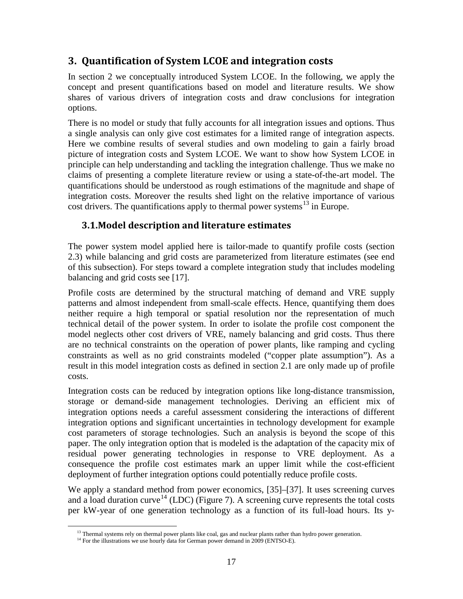## <span id="page-16-0"></span>**3. Quantification of System LCOE and integration costs**

In section [2](#page-3-0) we conceptually introduced System LCOE. In the following, we apply the concept and present quantifications based on model and literature results. We show shares of various drivers of integration costs and draw conclusions for integration options.

There is no model or study that fully accounts for all integration issues and options. Thus a single analysis can only give cost estimates for a limited range of integration aspects. Here we combine results of several studies and own modeling to gain a fairly broad picture of integration costs and System LCOE. We want to show how System LCOE in principle can help understanding and tackling the integration challenge. Thus we make no claims of presenting a complete literature review or using a state-of-the-art model. The quantifications should be understood as rough estimations of the magnitude and shape of integration costs. Moreover the results shed light on the relative importance of various cost drivers. The quantifications apply to thermal power systems<sup>[13](#page-16-2)</sup> in Europe.

## <span id="page-16-1"></span>**3.1.Model description and literature estimates**

The power system model applied here is tailor-made to quantify profile costs (section [2.3\)](#page-8-0) while balancing and grid costs are parameterized from literature estimates (see end of this subsection). For steps toward a complete integration study that includes modeling balancing and grid costs see [17].

Profile costs are determined by the structural matching of demand and VRE supply patterns and almost independent from small-scale effects. Hence, quantifying them does neither require a high temporal or spatial resolution nor the representation of much technical detail of the power system. In order to isolate the profile cost component the model neglects other cost drivers of VRE, namely balancing and grid costs. Thus there are no technical constraints on the operation of power plants, like ramping and cycling constraints as well as no grid constraints modeled ("copper plate assumption"). As a result in this model integration costs as defined in section [2.1](#page-4-0) are only made up of profile costs.

Integration costs can be reduced by integration options like long-distance transmission, storage or demand-side management technologies. Deriving an efficient mix of integration options needs a careful assessment considering the interactions of different integration options and significant uncertainties in technology development for example cost parameters of storage technologies. Such an analysis is beyond the scope of this paper. The only integration option that is modeled is the adaptation of the capacity mix of residual power generating technologies in response to VRE deployment. As a consequence the profile cost estimates mark an upper limit while the cost-efficient deployment of further integration options could potentially reduce profile costs.

We apply a standard method from power economics, [35]–[37]. It uses screening curves and a load duration curve<sup>[14](#page-16-3)</sup> (LDC) [\(Figure 7\)](#page-18-0). A screening curve represents the total costs per kW-year of one generation technology as a function of its full-load hours. Its y-

<sup>&</sup>lt;sup>13</sup> Thermal systems rely on thermal power plants like coal, gas and nuclear plants rather than hydro power generation. <sup>14</sup> For the illustrations we use hourly data for German power demand in 2009 (ENTSO-E).

<span id="page-16-3"></span><span id="page-16-2"></span>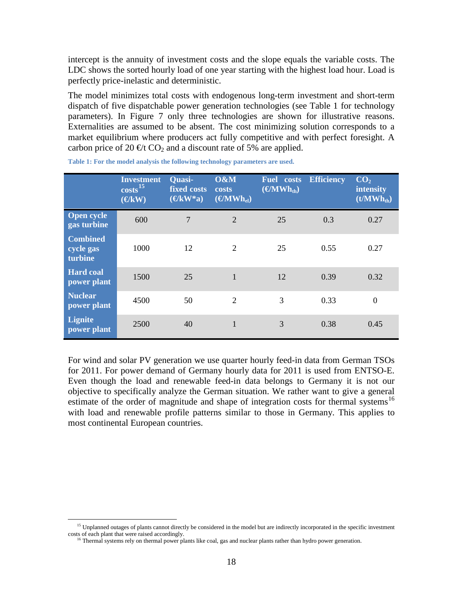intercept is the annuity of investment costs and the slope equals the variable costs. The LDC shows the sorted hourly load of one year starting with the highest load hour. Load is perfectly price-inelastic and deterministic.

The model minimizes total costs with endogenous long-term investment and short-term dispatch of five dispatchable power generation technologies (see [Table 1](#page-17-0) for technology parameters). In [Figure 7](#page-18-0) only three technologies are shown for illustrative reasons. Externalities are assumed to be absent. The cost minimizing solution corresponds to a market equilibrium where producers act fully competitive and with perfect foresight. A carbon price of 20  $\Theta$ t CO<sub>2</sub> and a discount rate of 5% are applied.

|                                         | <b>Investment</b><br>costs <sup>15</sup><br>$(\bigoplus$ kW) | <b>Quasi-</b><br>fixed costs<br>$(\mathbf{\in}$ KW*a) | O&M<br>costs<br>$(\boldsymbol{\in} MWh_{el})$ | <b>Fuel</b> costs<br>$(\mathbf{\Theta} \mathbf{M} \mathbf{W} \mathbf{h}_{\text{th}})$ | <b>Efficiency</b> | $\overline{\text{CO}_2}$<br>intensity<br>(t/MWh <sub>th</sub> ) |
|-----------------------------------------|--------------------------------------------------------------|-------------------------------------------------------|-----------------------------------------------|---------------------------------------------------------------------------------------|-------------------|-----------------------------------------------------------------|
| <b>Open cycle</b><br>gas turbine        | 600                                                          | $\overline{7}$                                        | $\overline{2}$                                | 25                                                                                    | 0.3               | 0.27                                                            |
| <b>Combined</b><br>cycle gas<br>turbine | 1000                                                         | 12                                                    | 2                                             | 25                                                                                    | 0.55              | 0.27                                                            |
| <b>Hard coal</b><br>power plant         | 1500                                                         | 25                                                    | 1                                             | 12                                                                                    | 0.39              | 0.32                                                            |
| <b>Nuclear</b><br>power plant           | 4500                                                         | 50                                                    | 2                                             | 3                                                                                     | 0.33              | $\overline{0}$                                                  |
| <b>Lignite</b><br>power plant           | 2500                                                         | 40                                                    |                                               | 3                                                                                     | 0.38              | 0.45                                                            |

<span id="page-17-0"></span>**Table 1: For the model analysis the following technology parameters are used.**

For wind and solar PV generation we use quarter hourly feed-in data from German TSOs for 2011. For power demand of Germany hourly data for 2011 is used from ENTSO-E. Even though the load and renewable feed-in data belongs to Germany it is not our objective to specifically analyze the German situation. We rather want to give a general estimate of the order of magnitude and shape of integration costs for thermal systems<sup>[16](#page-17-2)</sup> with load and renewable profile patterns similar to those in Germany. This applies to most continental European countries.

<span id="page-17-2"></span><span id="page-17-1"></span><sup>&</sup>lt;sup>15</sup> Unplanned outages of plants cannot directly be considered in the model but are indirectly incorporated in the specific investment costs of each plant that were raised accordingly.

 $^{16}$  Thermal systems rely on thermal power plants like coal, gas and nuclear plants rather than hydro power generation.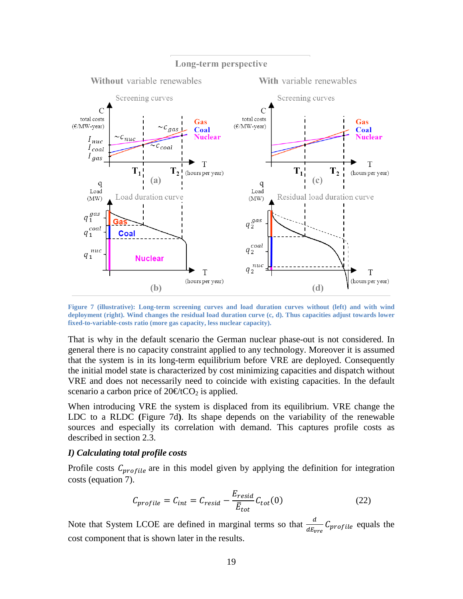

<span id="page-18-0"></span>**Figure 7 (illustrative): Long-term screening curves and load duration curves without (left) and with wind deployment (right). Wind changes the residual load duration curve (c, d). Thus capacities adjust towards lower fixed-to-variable-costs ratio (more gas capacity, less nuclear capacity).**

That is why in the default scenario the German nuclear phase-out is not considered. In general there is no capacity constraint applied to any technology. Moreover it is assumed that the system is in its long-term equilibrium before VRE are deployed. Consequently the initial model state is characterized by cost minimizing capacities and dispatch without VRE and does not necessarily need to coincide with existing capacities. In the default scenario a carbon price of  $20 \in \text{tCO}_2$  is applied.

When introducing VRE the system is displaced from its equilibrium. VRE change the LDC to a RLDC **(**[Figure 7d](#page-18-0)**)**. Its shape depends on the variability of the renewable sources and especially its correlation with demand. This captures profile costs as described in section [2.3.](#page-8-0)

#### *I) Calculating total profile costs*

Profile costs  $C_{profile}$  are in this model given by applying the definition for integration costs (equation 7).

$$
C_{profile} = C_{int} = C_{resid} - \frac{E_{resid}}{\bar{E}_{tot}} C_{tot}(0)
$$
 (22)

Note that System LCOE are defined in marginal terms so that  $\frac{d}{dE_{\text{true}}}C_{\text{profile}}$  equals the cost component that is shown later in the results.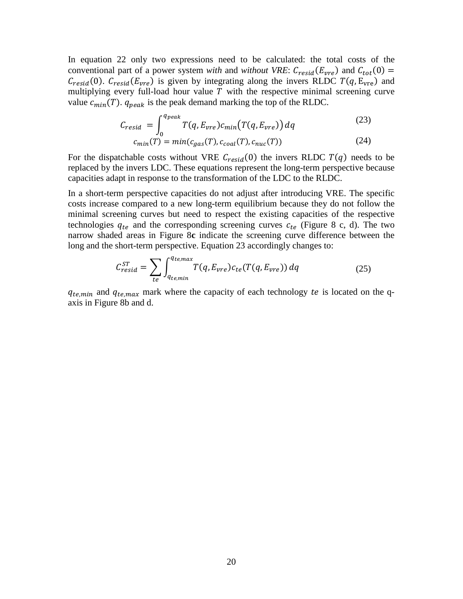In equation 22 only two expressions need to be calculated: the total costs of the conventional part of a power system *with* and *without VRE*:  $C_{resid}(E_{vre})$  and  $C_{tot}(0)$  =  $C_{resid}(0)$ .  $C_{resid}(E_{vre})$  is given by integrating along the invers RLDC  $T(q, E_{vre})$  and multiplying every full-load hour value  $T$  with the respective minimal screening curve value  $c_{min}(T)$ .  $q_{peak}$  is the peak demand marking the top of the RLDC.

$$
C_{resid} = \int_0^{q_{peak}} T(q, E_{vre}) c_{min}(T(q, E_{vre})) dq
$$
\n
$$
c_{min}(T) = min(c_{gas}(T), c_{coal}(T), c_{nuc}(T))
$$
\n(24)

For the dispatchable costs without VRE  $C_{resid}(0)$  the invers RLDC  $T(q)$  needs to be replaced by the invers LDC. These equations represent the long-term perspective because capacities adapt in response to the transformation of the LDC to the RLDC.

In a short-term perspective capacities do not adjust after introducing VRE. The specific costs increase compared to a new long-term equilibrium because they do not follow the minimal screening curves but need to respect the existing capacities of the respective technologies  $q_{te}$  and the corresponding screening curves  $c_{te}$  [\(Figure 8](#page-20-0) c, d). The two narrow shaded areas in [Figure 8](#page-20-0)**c** indicate the screening curve difference between the long and the short-term perspective. Equation 23 accordingly changes to:

$$
C_{resid}^{ST} = \sum_{te} \int_{q_{te,min}}^{q_{te,max}} T(q, E_{vre}) c_{te}(T(q, E_{vre})) dq
$$
 (25)

 $q_{te,min}$  and  $q_{te,max}$  mark where the capacity of each technology te is located on the qaxis in [Figure 8b](#page-20-0) and d.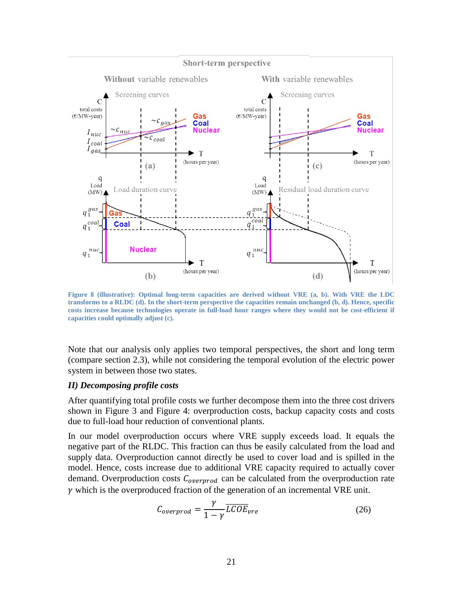

<span id="page-20-0"></span>**Figure 8 (illustrative): Optimal long-term capacities are derived without VRE (a, b). With VRE the LDC transforms to a RLDC (d). In the short-term perspective the capacities remain unchanged (b, d). Hence, specific costs increase because technologies operate in full-load hour ranges where they would not be cost-efficient if capacities could optimally adjust (c).**

Note that our analysis only applies two temporal perspectives, the short and long term (compare section [2.3\)](#page-8-0), while not considering the temporal evolution of the electric power system in between those two states.

#### *II) Decomposing profile costs*

After quantifying total profile costs we further decompose them into the three cost drivers shown in [Figure 3](#page-9-0) and [Figure 4:](#page-11-0) overproduction costs, backup capacity costs and costs due to full-load hour reduction of conventional plants.

In our model overproduction occurs where VRE supply exceeds load. It equals the negative part of the RLDC. This fraction can thus be easily calculated from the load and supply data. Overproduction cannot directly be used to cover load and is spilled in the model. Hence, costs increase due to additional VRE capacity required to actually cover demand. Overproduction costs  $C_{overprod}$  can be calculated from the overproduction rate  $\gamma$  which is the overproduced fraction of the generation of an incremental VRE unit.

$$
C_{overprod} = \frac{\gamma}{1 - \gamma} \overline{LCOE}_{vre}
$$
 (26)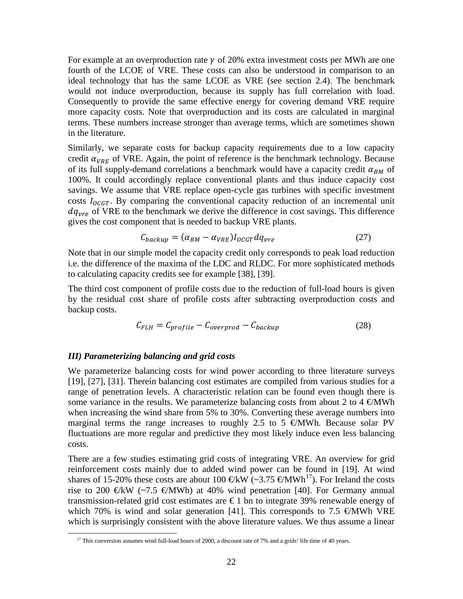For example at an overproduction rate  $\gamma$  of 20% extra investment costs per MWh are one fourth of the LCOE of VRE. These costs can also be understood in comparison to an ideal technology that has the same LCOE as VRE (see section [2.4\)](#page-14-0). The benchmark would not induce overproduction, because its supply has full correlation with load. Consequently to provide the same effective energy for covering demand VRE require more capacity costs. Note that overproduction and its costs are calculated in marginal terms. These numbers increase stronger than average terms, which are sometimes shown in the literature.

Similarly, we separate costs for backup capacity requirements due to a low capacity credit  $\alpha_{VRE}$  of VRE. Again, the point of reference is the benchmark technology. Because of its full supply-demand correlations a benchmark would have a capacity credit  $\alpha_{BM}$  of 100%. It could accordingly replace conventional plants and thus induce capacity cost savings. We assume that VRE replace open-cycle gas turbines with specific investment costs  $I_{OCGT}$ . By comparing the conventional capacity reduction of an incremental unit  $dq_{vre}$  of VRE to the benchmark we derive the difference in cost savings. This difference gives the cost component that is needed to backup VRE plants.

$$
C_{\text{backup}} = (\alpha_{BM} - \alpha_{\text{VRE}}) I_{\text{OCGT}} dq_{\text{vre}} \tag{27}
$$

Note that in our simple model the capacity credit only corresponds to peak load reduction i.e. the difference of the maxima of the LDC and RLDC. For more sophisticated methods to calculating capacity credits see for example [38], [39].

The third cost component of profile costs due to the reduction of full-load hours is given by the residual cost share of profile costs after subtracting overproduction costs and backup costs.

$$
C_{FLH} = C_{profile} - C_{overprod} - C_{backup}
$$
 (28)

#### *III) Parameterizing balancing and grid costs*

We parameterize balancing costs for wind power according to three literature surveys [19], [27], [31]. Therein balancing cost estimates are compiled from various studies for a range of penetration levels. A characteristic relation can be found even though there is some variance in the results. We parameterize balancing costs from about 2 to 4  $\epsilon$ MWh when increasing the wind share from 5% to 30%. Converting these average numbers into marginal terms the range increases to roughly 2.5 to 5  $\in$ MWh. Because solar PV fluctuations are more regular and predictive they most likely induce even less balancing costs.

There are a few studies estimating grid costs of integrating VRE. An overview for grid reinforcement costs mainly due to added wind power can be found in [19]. At wind shares of 15-20% these costs are about 100  $\bigoplus$ KW (~3.75  $\bigoplus$ MWh<sup>17</sup>). For Ireland the costs rise to 200  $\bigoplus$ KW (~7.5  $\bigoplus$ MWh) at 40% wind penetration [40]. For Germany annual transmission-related grid cost estimates are  $\epsilon$  1 bn to integrate 39% renewable energy of which 70% is wind and solar generation [41]. This corresponds to 7.5  $\epsilon$ MWh VRE which is surprisingly consistent with the above literature values. We thus assume a linear

<span id="page-21-0"></span><sup>&</sup>lt;sup>17</sup> This conversion assumes wind full-load hours of 2000, a discount rate of 7% and a grids<sup>4</sup> life time of 40 years.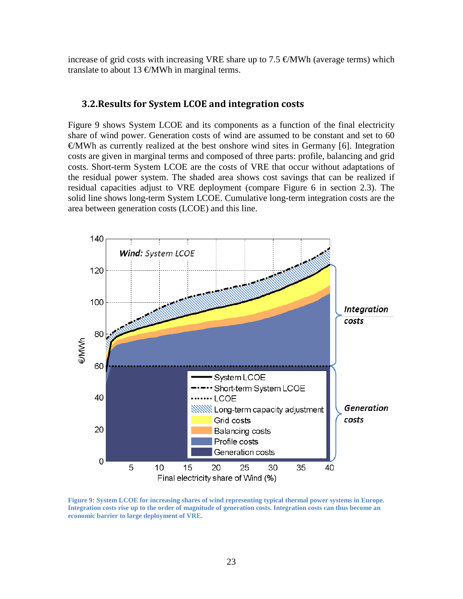increase of grid costs with increasing VRE share up to 7.5  $\epsilon$ MWh (average terms) which translate to about 13  $\oplus$ MWh in marginal terms.

#### <span id="page-22-0"></span>**3.2.Results for System LCOE and integration costs**

[Figure 9](#page-22-1) shows System LCOE and its components as a function of the final electricity share of wind power. Generation costs of wind are assumed to be constant and set to 60  $\epsilon$ MWh as currently realized at the best onshore wind sites in Germany [6]. Integration costs are given in marginal terms and composed of three parts: profile, balancing and grid costs. Short-term System LCOE are the costs of VRE that occur without adaptations of the residual power system. The shaded area shows cost savings that can be realized if residual capacities adjust to VRE deployment (compare [Figure 6](#page-13-0) in section [2.3\)](#page-8-0). The solid line shows long-term System LCOE. Cumulative long-term integration costs are the area between generation costs (LCOE) and this line.



<span id="page-22-1"></span>**Figure 9: System LCOE for increasing shares of wind representing typical thermal power systems in Europe. Integration costs rise up to the order of magnitude of generation costs. Integration costs can thus become an economic barrier to large deployment of VRE.**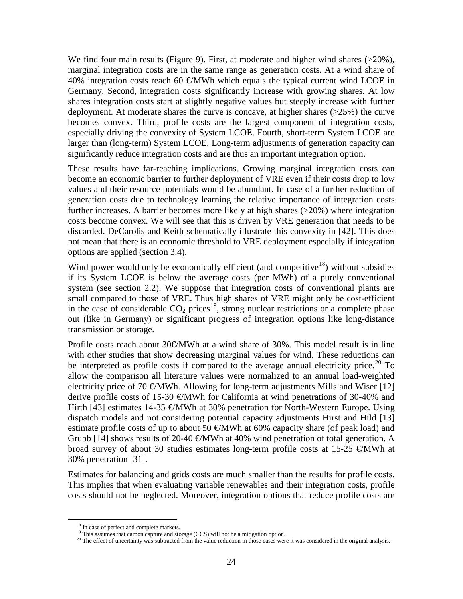We find four main results [\(Figure 9\)](#page-22-1). First, at moderate and higher wind shares ( $>20\%$ ), marginal integration costs are in the same range as generation costs. At a wind share of 40% integration costs reach 60  $\in$ MWh which equals the typical current wind LCOE in Germany. Second, integration costs significantly increase with growing shares. At low shares integration costs start at slightly negative values but steeply increase with further deployment. At moderate shares the curve is concave, at higher shares (>25%) the curve becomes convex. Third, profile costs are the largest component of integration costs, especially driving the convexity of System LCOE. Fourth, short-term System LCOE are larger than (long-term) System LCOE. Long-term adjustments of generation capacity can significantly reduce integration costs and are thus an important integration option.

These results have far-reaching implications. Growing marginal integration costs can become an economic barrier to further deployment of VRE even if their costs drop to low values and their resource potentials would be abundant. In case of a further reduction of generation costs due to technology learning the relative importance of integration costs further increases. A barrier becomes more likely at high shares (>20%) where integration costs become convex. We will see that this is driven by VRE generation that needs to be discarded. DeCarolis and Keith schematically illustrate this convexity in [42]. This does not mean that there is an economic threshold to VRE deployment especially if integration options are applied (section [3.4\)](#page-27-0).

Wind power would only be economically efficient (and competitive<sup>[18](#page-23-0)</sup>) without subsidies if its System LCOE is below the average costs (per MWh) of a purely conventional system (see section [2.2\)](#page-6-0). We suppose that integration costs of conventional plants are small compared to those of VRE. Thus high shares of VRE might only be cost-efficient in the case of considerable  $CO_2$  prices<sup>19</sup>, strong nuclear restrictions or a complete phase out (like in Germany) or significant progress of integration options like long-distance transmission or storage.

Profile costs reach about 30€/MWh at a wind share of 30%. This model result is in line with other studies that show decreasing marginal values for wind. These reductions can be interpreted as profile costs if compared to the average annual electricity price.<sup>[20](#page-23-2)</sup> To allow the comparison all literature values were normalized to an annual load-weighted electricity price of 70  $\epsilon$ MWh. Allowing for long-term adjustments Mills and Wiser [12] derive profile costs of 15-30  $\epsilon$ MWh for California at wind penetrations of 30-40% and Hirth [43] estimates 14-35  $\epsilon$ MWh at 30% penetration for North-Western Europe. Using dispatch models and not considering potential capacity adjustments Hirst and Hild [13] estimate profile costs of up to about 50  $\in$ MWh at 60% capacity share (of peak load) and Grubb [14] shows results of 20-40  $\epsilon$ MWh at 40% wind penetration of total generation. A broad survey of about 30 studies estimates long-term profile costs at 15-25  $\epsilon$ MWh at 30% penetration [31].

Estimates for balancing and grids costs are much smaller than the results for profile costs. This implies that when evaluating variable renewables and their integration costs, profile costs should not be neglected. Moreover, integration options that reduce profile costs are

<span id="page-23-0"></span>

 $18$  In case of perfect and complete markets.<br><sup>19</sup> This assumes that carbon capture and storage (CCS) will not be a mitigation option.

<span id="page-23-2"></span><span id="page-23-1"></span> $^{20}$  The effect of uncertainty was subtracted from the value reduction in those cases were it was considered in the original analysis.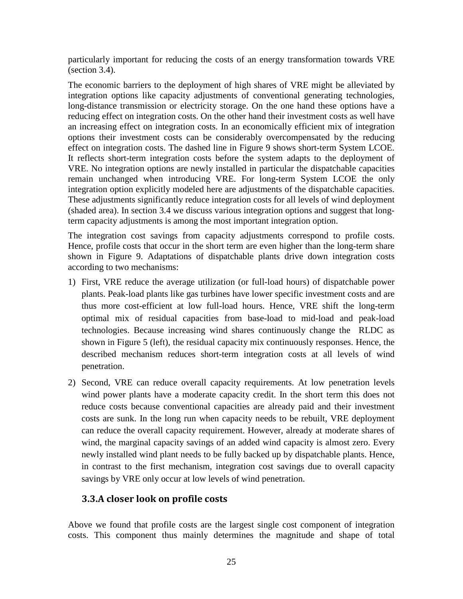particularly important for reducing the costs of an energy transformation towards VRE (section [3.4\)](#page-27-0).

The economic barriers to the deployment of high shares of VRE might be alleviated by integration options like capacity adjustments of conventional generating technologies, long-distance transmission or electricity storage. On the one hand these options have a reducing effect on integration costs. On the other hand their investment costs as well have an increasing effect on integration costs. In an economically efficient mix of integration options their investment costs can be considerably overcompensated by the reducing effect on integration costs. The dashed line in [Figure 9](#page-22-1) shows short-term System LCOE. It reflects short-term integration costs before the system adapts to the deployment of VRE. No integration options are newly installed in particular the dispatchable capacities remain unchanged when introducing VRE. For long-term System LCOE the only integration option explicitly modeled here are adjustments of the dispatchable capacities. These adjustments significantly reduce integration costs for all levels of wind deployment (shaded area). In section [3.4](#page-27-0) we discuss various integration options and suggest that longterm capacity adjustments is among the most important integration option.

The integration cost savings from capacity adjustments correspond to profile costs. Hence, profile costs that occur in the short term are even higher than the long-term share shown in [Figure 9.](#page-22-1) Adaptations of dispatchable plants drive down integration costs according to two mechanisms:

- 1) First, VRE reduce the average utilization (or full-load hours) of dispatchable power plants. Peak-load plants like gas turbines have lower specific investment costs and are thus more cost-efficient at low full-load hours. Hence, VRE shift the long-term optimal mix of residual capacities from base-load to mid-load and peak-load technologies. Because increasing wind shares continuously change the RLDC as shown in [Figure 5](#page-12-0) (left), the residual capacity mix continuously responses. Hence, the described mechanism reduces short-term integration costs at all levels of wind penetration.
- 2) Second, VRE can reduce overall capacity requirements. At low penetration levels wind power plants have a moderate capacity credit. In the short term this does not reduce costs because conventional capacities are already paid and their investment costs are sunk. In the long run when capacity needs to be rebuilt, VRE deployment can reduce the overall capacity requirement. However, already at moderate shares of wind, the marginal capacity savings of an added wind capacity is almost zero. Every newly installed wind plant needs to be fully backed up by dispatchable plants. Hence, in contrast to the first mechanism, integration cost savings due to overall capacity savings by VRE only occur at low levels of wind penetration.

## **3.3.A closer look on profile costs**

Above we found that profile costs are the largest single cost component of integration costs. This component thus mainly determines the magnitude and shape of total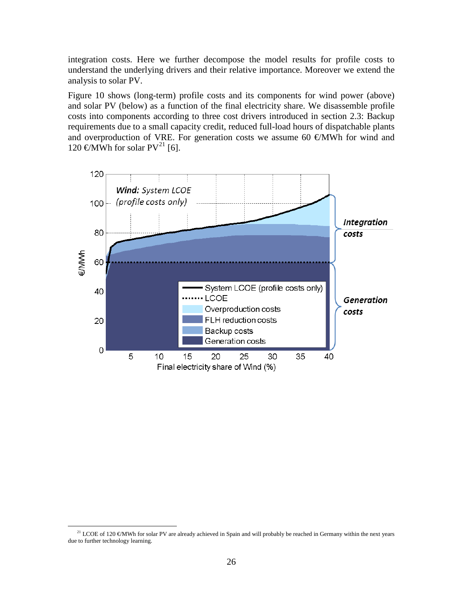integration costs. Here we further decompose the model results for profile costs to understand the underlying drivers and their relative importance. Moreover we extend the analysis to solar PV.

[Figure 10](#page-26-0) shows (long-term) profile costs and its components for wind power (above) and solar PV (below) as a function of the final electricity share. We disassemble profile costs into components according to three cost drivers introduced in section [2.3:](#page-8-0) Backup requirements due to a small capacity credit, reduced full-load hours of dispatchable plants and overproduction of VRE. For generation costs we assume 60  $\epsilon$ MWh for wind and 120  $\in$ MWh for solar PV<sup>[21](#page-25-0)</sup> [6].



<span id="page-25-0"></span><sup>&</sup>lt;sup>21</sup> LCOE of 120  $\in$ MWh for solar PV are already achieved in Spain and will probably be reached in Germany within the next years due to further technology learning.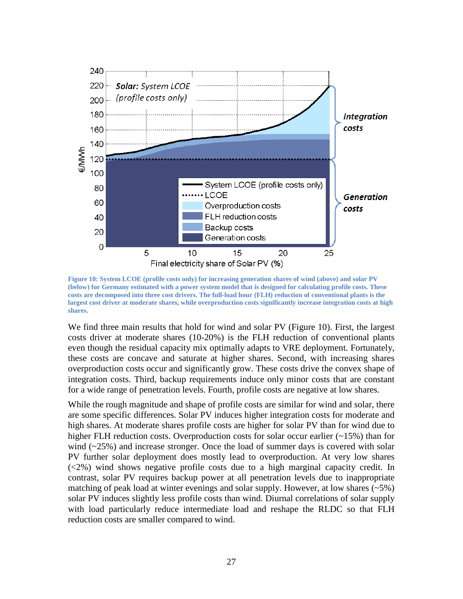

<span id="page-26-0"></span>**Figure 10: System LCOE (profile costs only) for increasing generation shares of wind (above) and solar PV (below) for Germany estimated with a power system model that is designed for calculating profile costs. These costs are decomposed into three cost drivers. The full-load hour (FLH) reduction of conventional plants is the largest cost driver at moderate shares, while overproduction costs significantly increase integration costs at high shares.**

We find three main results that hold for wind and solar PV [\(Figure 10\)](#page-26-0). First, the largest costs driver at moderate shares (10-20%) is the FLH reduction of conventional plants even though the residual capacity mix optimally adapts to VRE deployment. Fortunately, these costs are concave and saturate at higher shares. Second, with increasing shares overproduction costs occur and significantly grow. These costs drive the convex shape of integration costs. Third, backup requirements induce only minor costs that are constant for a wide range of penetration levels. Fourth, profile costs are negative at low shares.

While the rough magnitude and shape of profile costs are similar for wind and solar, there are some specific differences. Solar PV induces higher integration costs for moderate and high shares. At moderate shares profile costs are higher for solar PV than for wind due to higher FLH reduction costs. Overproduction costs for solar occur earlier (~15%) than for wind  $(\sim 25\%)$  and increase stronger. Once the load of summer days is covered with solar PV further solar deployment does mostly lead to overproduction. At very low shares (<2%) wind shows negative profile costs due to a high marginal capacity credit. In contrast, solar PV requires backup power at all penetration levels due to inappropriate matching of peak load at winter evenings and solar supply. However, at low shares  $(\sim 5\%)$ solar PV induces slightly less profile costs than wind. Diurnal correlations of solar supply with load particularly reduce intermediate load and reshape the RLDC so that FLH reduction costs are smaller compared to wind.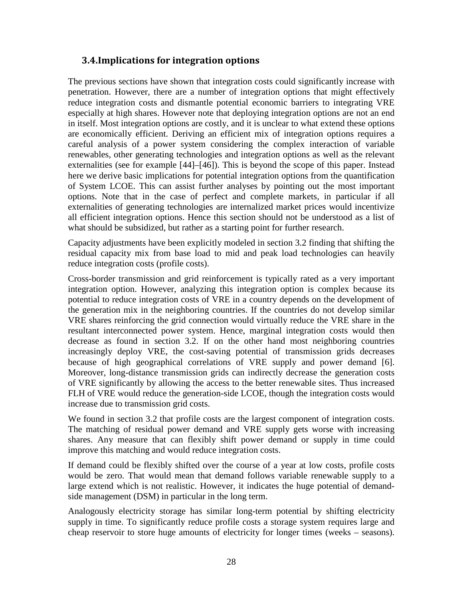## <span id="page-27-0"></span>**3.4.Implications for integration options**

The previous sections have shown that integration costs could significantly increase with penetration. However, there are a number of integration options that might effectively reduce integration costs and dismantle potential economic barriers to integrating VRE especially at high shares. However note that deploying integration options are not an end in itself. Most integration options are costly, and it is unclear to what extend these options are economically efficient. Deriving an efficient mix of integration options requires a careful analysis of a power system considering the complex interaction of variable renewables, other generating technologies and integration options as well as the relevant externalities (see for example [44]–[46]). This is beyond the scope of this paper. Instead here we derive basic implications for potential integration options from the quantification of System LCOE. This can assist further analyses by pointing out the most important options. Note that in the case of perfect and complete markets, in particular if all externalities of generating technologies are internalized market prices would incentivize all efficient integration options. Hence this section should not be understood as a list of what should be subsidized, but rather as a starting point for further research.

Capacity adjustments have been explicitly modeled in section [3.2](#page-22-0) finding that shifting the residual capacity mix from base load to mid and peak load technologies can heavily reduce integration costs (profile costs).

Cross-border transmission and grid reinforcement is typically rated as a very important integration option. However, analyzing this integration option is complex because its potential to reduce integration costs of VRE in a country depends on the development of the generation mix in the neighboring countries. If the countries do not develop similar VRE shares reinforcing the grid connection would virtually reduce the VRE share in the resultant interconnected power system. Hence, marginal integration costs would then decrease as found in section [3.2.](#page-22-0) If on the other hand most neighboring countries increasingly deploy VRE, the cost-saving potential of transmission grids decreases because of high geographical correlations of VRE supply and power demand [6]. Moreover, long-distance transmission grids can indirectly decrease the generation costs of VRE significantly by allowing the access to the better renewable sites. Thus increased FLH of VRE would reduce the generation-side LCOE, though the integration costs would increase due to transmission grid costs.

We found in section [3.2](#page-22-0) that profile costs are the largest component of integration costs. The matching of residual power demand and VRE supply gets worse with increasing shares. Any measure that can flexibly shift power demand or supply in time could improve this matching and would reduce integration costs.

If demand could be flexibly shifted over the course of a year at low costs, profile costs would be zero. That would mean that demand follows variable renewable supply to a large extend which is not realistic. However, it indicates the huge potential of demandside management (DSM) in particular in the long term.

Analogously electricity storage has similar long-term potential by shifting electricity supply in time. To significantly reduce profile costs a storage system requires large and cheap reservoir to store huge amounts of electricity for longer times (weeks – seasons).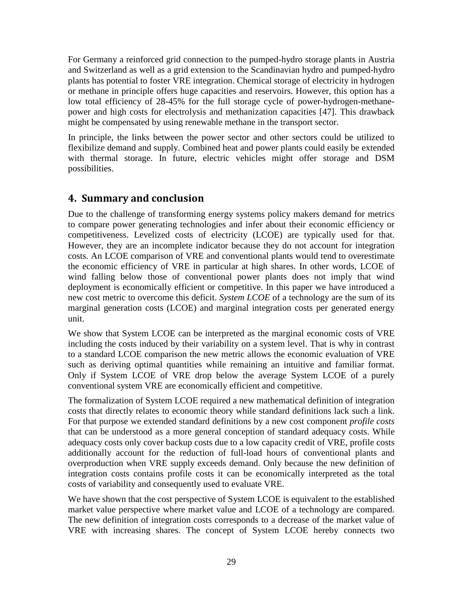For Germany a reinforced grid connection to the pumped-hydro storage plants in Austria and Switzerland as well as a grid extension to the Scandinavian hydro and pumped-hydro plants has potential to foster VRE integration. Chemical storage of electricity in hydrogen or methane in principle offers huge capacities and reservoirs. However, this option has a low total efficiency of 28-45% for the full storage cycle of power-hydrogen-methanepower and high costs for electrolysis and methanization capacities [47]. This drawback might be compensated by using renewable methane in the transport sector.

In principle, the links between the power sector and other sectors could be utilized to flexibilize demand and supply. Combined heat and power plants could easily be extended with thermal storage. In future, electric vehicles might offer storage and DSM possibilities.

## <span id="page-28-0"></span>**4. Summary and conclusion**

Due to the challenge of transforming energy systems policy makers demand for metrics to compare power generating technologies and infer about their economic efficiency or competitiveness. Levelized costs of electricity (LCOE) are typically used for that. However, they are an incomplete indicator because they do not account for integration costs. An LCOE comparison of VRE and conventional plants would tend to overestimate the economic efficiency of VRE in particular at high shares. In other words, LCOE of wind falling below those of conventional power plants does not imply that wind deployment is economically efficient or competitive. In this paper we have introduced a new cost metric to overcome this deficit. *System LCOE* of a technology are the sum of its marginal generation costs (LCOE) and marginal integration costs per generated energy unit.

We show that System LCOE can be interpreted as the marginal economic costs of VRE including the costs induced by their variability on a system level. That is why in contrast to a standard LCOE comparison the new metric allows the economic evaluation of VRE such as deriving optimal quantities while remaining an intuitive and familiar format. Only if System LCOE of VRE drop below the average System LCOE of a purely conventional system VRE are economically efficient and competitive.

The formalization of System LCOE required a new mathematical definition of integration costs that directly relates to economic theory while standard definitions lack such a link. For that purpose we extended standard definitions by a new cost component *profile costs* that can be understood as a more general conception of standard adequacy costs. While adequacy costs only cover backup costs due to a low capacity credit of VRE, profile costs additionally account for the reduction of full-load hours of conventional plants and overproduction when VRE supply exceeds demand. Only because the new definition of integration costs contains profile costs it can be economically interpreted as the total costs of variability and consequently used to evaluate VRE.

We have shown that the cost perspective of System LCOE is equivalent to the established market value perspective where market value and LCOE of a technology are compared. The new definition of integration costs corresponds to a decrease of the market value of VRE with increasing shares. The concept of System LCOE hereby connects two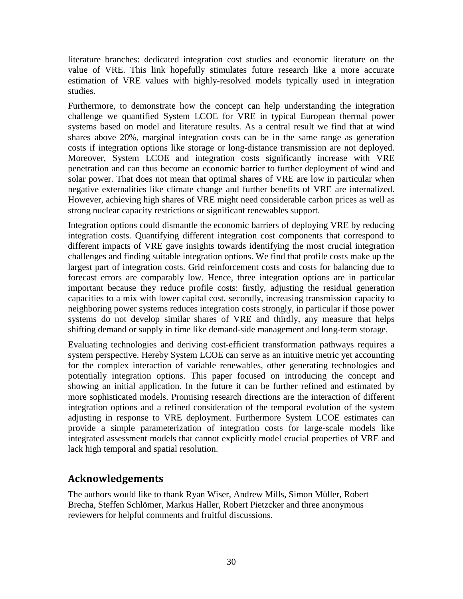literature branches: dedicated integration cost studies and economic literature on the value of VRE. This link hopefully stimulates future research like a more accurate estimation of VRE values with highly-resolved models typically used in integration studies.

Furthermore, to demonstrate how the concept can help understanding the integration challenge we quantified System LCOE for VRE in typical European thermal power systems based on model and literature results. As a central result we find that at wind shares above 20%, marginal integration costs can be in the same range as generation costs if integration options like storage or long-distance transmission are not deployed. Moreover, System LCOE and integration costs significantly increase with VRE penetration and can thus become an economic barrier to further deployment of wind and solar power. That does not mean that optimal shares of VRE are low in particular when negative externalities like climate change and further benefits of VRE are internalized. However, achieving high shares of VRE might need considerable carbon prices as well as strong nuclear capacity restrictions or significant renewables support.

Integration options could dismantle the economic barriers of deploying VRE by reducing integration costs. Quantifying different integration cost components that correspond to different impacts of VRE gave insights towards identifying the most crucial integration challenges and finding suitable integration options. We find that profile costs make up the largest part of integration costs. Grid reinforcement costs and costs for balancing due to forecast errors are comparably low. Hence, three integration options are in particular important because they reduce profile costs: firstly, adjusting the residual generation capacities to a mix with lower capital cost, secondly, increasing transmission capacity to neighboring power systems reduces integration costs strongly, in particular if those power systems do not develop similar shares of VRE and thirdly, any measure that helps shifting demand or supply in time like demand-side management and long-term storage.

Evaluating technologies and deriving cost-efficient transformation pathways requires a system perspective. Hereby System LCOE can serve as an intuitive metric yet accounting for the complex interaction of variable renewables, other generating technologies and potentially integration options. This paper focused on introducing the concept and showing an initial application. In the future it can be further refined and estimated by more sophisticated models. Promising research directions are the interaction of different integration options and a refined consideration of the temporal evolution of the system adjusting in response to VRE deployment. Furthermore System LCOE estimates can provide a simple parameterization of integration costs for large-scale models like integrated assessment models that cannot explicitly model crucial properties of VRE and lack high temporal and spatial resolution.

## **Acknowledgements**

The authors would like to thank Ryan Wiser, Andrew Mills, Simon Müller, Robert Brecha, Steffen Schlömer, Markus Haller, Robert Pietzcker and three anonymous reviewers for helpful comments and fruitful discussions.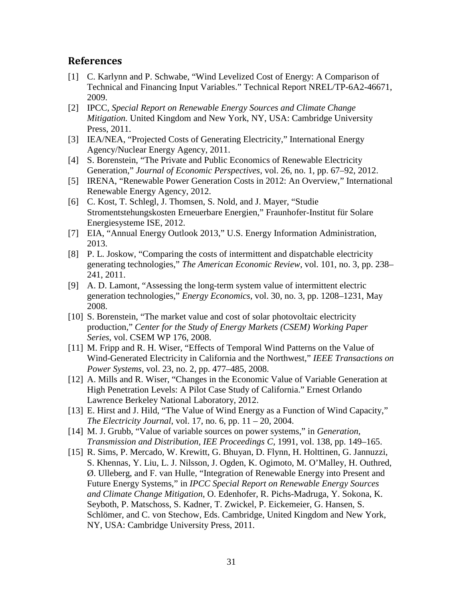## **References**

- [1] C. Karlynn and P. Schwabe, "Wind Levelized Cost of Energy: A Comparison of Technical and Financing Input Variables." Technical Report NREL/TP-6A2-46671, 2009.
- [2] IPCC, *Special Report on Renewable Energy Sources and Climate Change Mitigation.* United Kingdom and New York, NY, USA: Cambridge University Press, 2011.
- [3] IEA/NEA, "Projected Costs of Generating Electricity," International Energy Agency/Nuclear Energy Agency, 2011.
- [4] S. Borenstein, "The Private and Public Economics of Renewable Electricity Generation," *Journal of Economic Perspectives*, vol. 26, no. 1, pp. 67–92, 2012.
- [5] IRENA, "Renewable Power Generation Costs in 2012: An Overview," International Renewable Energy Agency, 2012.
- [6] C. Kost, T. Schlegl, J. Thomsen, S. Nold, and J. Mayer, "Studie Stromentstehungskosten Erneuerbare Energien," Fraunhofer-Institut für Solare Energiesysteme ISE, 2012.
- [7] EIA, "Annual Energy Outlook 2013," U.S. Energy Information Administration, 2013.
- [8] P. L. Joskow, "Comparing the costs of intermittent and dispatchable electricity generating technologies," *The American Economic Review*, vol. 101, no. 3, pp. 238– 241, 2011.
- [9] A. D. Lamont, "Assessing the long-term system value of intermittent electric generation technologies," *Energy Economics*, vol. 30, no. 3, pp. 1208–1231, May 2008.
- [10] S. Borenstein, "The market value and cost of solar photovoltaic electricity production," *Center for the Study of Energy Markets (CSEM) Working Paper Series*, vol. CSEM WP 176, 2008.
- [11] M. Fripp and R. H. Wiser, "Effects of Temporal Wind Patterns on the Value of Wind-Generated Electricity in California and the Northwest," *IEEE Transactions on Power Systems*, vol. 23, no. 2, pp. 477–485, 2008.
- [12] A. Mills and R. Wiser, "Changes in the Economic Value of Variable Generation at High Penetration Levels: A Pilot Case Study of California." Ernest Orlando Lawrence Berkeley National Laboratory, 2012.
- [13] E. Hirst and J. Hild, "The Value of Wind Energy as a Function of Wind Capacity," *The Electricity Journal*, vol. 17, no. 6, pp. 11 – 20, 2004.
- [14] M. J. Grubb, "Value of variable sources on power systems," in *Generation, Transmission and Distribution, IEE Proceedings C*, 1991, vol. 138, pp. 149–165.
- [15] R. Sims, P. Mercado, W. Krewitt, G. Bhuyan, D. Flynn, H. Holttinen, G. Jannuzzi, S. Khennas, Y. Liu, L. J. Nilsson, J. Ogden, K. Ogimoto, M. O'Malley, H. Outhred, Ø. Ulleberg, and F. van Hulle, "Integration of Renewable Energy into Present and Future Energy Systems," in *IPCC Special Report on Renewable Energy Sources and Climate Change Mitigation*, O. Edenhofer, R. Pichs-Madruga, Y. Sokona, K. Seyboth, P. Matschoss, S. Kadner, T. Zwickel, P. Eickemeier, G. Hansen, S. Schlömer, and C. von Stechow, Eds. Cambridge, United Kingdom and New York, NY, USA: Cambridge University Press, 2011.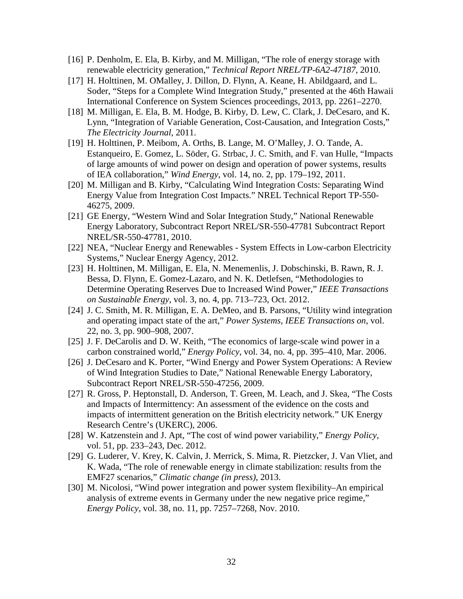- [16] P. Denholm, E. Ela, B. Kirby, and M. Milligan, "The role of energy storage with renewable electricity generation," *Technical Report NREL/TP-6A2-47187*, 2010.
- [17] H. Holttinen, M. OMalley, J. Dillon, D. Flynn, A. Keane, H. Abildgaard, and L. Soder, "Steps for a Complete Wind Integration Study," presented at the 46th Hawaii International Conference on System Sciences proceedings, 2013, pp. 2261–2270.
- [18] M. Milligan, E. Ela, B. M. Hodge, B. Kirby, D. Lew, C. Clark, J. DeCesaro, and K. Lynn, "Integration of Variable Generation, Cost-Causation, and Integration Costs," *The Electricity Journal*, 2011.
- [19] H. Holttinen, P. Meibom, A. Orths, B. Lange, M. O'Malley, J. O. Tande, A. Estanqueiro, E. Gomez, L. Söder, G. Strbac, J. C. Smith, and F. van Hulle, "Impacts of large amounts of wind power on design and operation of power systems, results of IEA collaboration," *Wind Energy*, vol. 14, no. 2, pp. 179–192, 2011.
- [20] M. Milligan and B. Kirby, "Calculating Wind Integration Costs: Separating Wind Energy Value from Integration Cost Impacts." NREL Technical Report TP-550- 46275, 2009.
- [21] GE Energy, "Western Wind and Solar Integration Study," National Renewable Energy Laboratory, Subcontract Report NREL/SR-550-47781 Subcontract Report NREL/SR-550-47781, 2010.
- [22] NEA, "Nuclear Energy and Renewables System Effects in Low-carbon Electricity Systems," Nuclear Energy Agency, 2012.
- [23] H. Holttinen, M. Milligan, E. Ela, N. Menemenlis, J. Dobschinski, B. Rawn, R. J. Bessa, D. Flynn, E. Gomez-Lazaro, and N. K. Detlefsen, "Methodologies to Determine Operating Reserves Due to Increased Wind Power," *IEEE Transactions on Sustainable Energy*, vol. 3, no. 4, pp. 713–723, Oct. 2012.
- [24] J. C. Smith, M. R. Milligan, E. A. DeMeo, and B. Parsons, "Utility wind integration and operating impact state of the art," *Power Systems, IEEE Transactions on*, vol. 22, no. 3, pp. 900–908, 2007.
- [25] J. F. DeCarolis and D. W. Keith, "The economics of large-scale wind power in a carbon constrained world," *Energy Policy*, vol. 34, no. 4, pp. 395–410, Mar. 2006.
- [26] J. DeCesaro and K. Porter, "Wind Energy and Power System Operations: A Review of Wind Integration Studies to Date," National Renewable Energy Laboratory, Subcontract Report NREL/SR-550-47256, 2009.
- [27] R. Gross, P. Heptonstall, D. Anderson, T. Green, M. Leach, and J. Skea, "The Costs and Impacts of Intermittency: An assessment of the evidence on the costs and impacts of intermittent generation on the British electricity network." UK Energy Research Centre's (UKERC), 2006.
- [28] W. Katzenstein and J. Apt, "The cost of wind power variability," *Energy Policy*, vol. 51, pp. 233–243, Dec. 2012.
- [29] G. Luderer, V. Krey, K. Calvin, J. Merrick, S. Mima, R. Pietzcker, J. Van Vliet, and K. Wada, "The role of renewable energy in climate stabilization: results from the EMF27 scenarios," *Climatic change (in press)*, 2013.
- [30] M. Nicolosi, "Wind power integration and power system flexibility–An empirical analysis of extreme events in Germany under the new negative price regime," *Energy Policy*, vol. 38, no. 11, pp. 7257–7268, Nov. 2010.